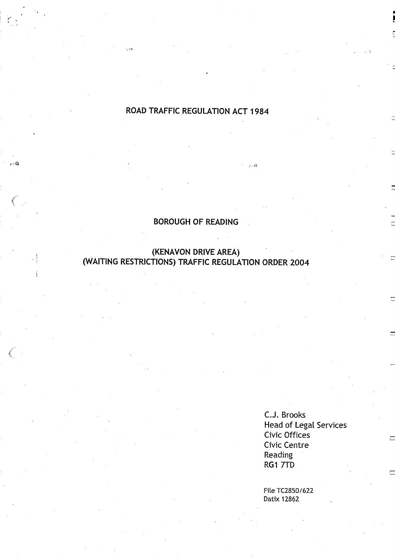## **ROAD TRAFFIC REGULATION ACT 1984**

 $\hat{\rho}$  ,  $\hat{\epsilon}_{\rm B}$ 

.<br>Ngjarje

.<br>الكافر

## **BOROUGH OF READING**

#### **(KENAVON DRIVE AREA) (WAITING RESTRICTIONS**) **TRAFFIC REGULATION ORDER 2004**

**C.J . Brooks Head of Legal Services** Civic Offices Civic Centre **Reading** RG1 7TD

Fite TC2850/622 **Datix 12862**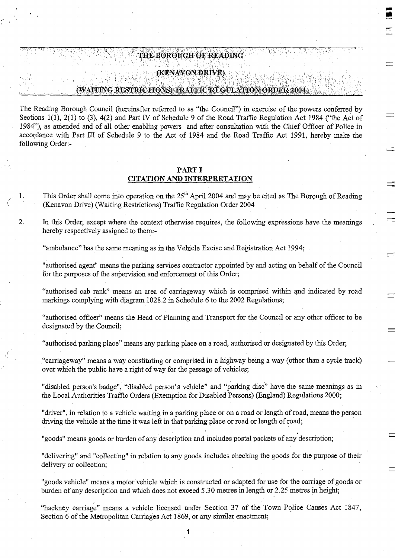## (KENAVON DRIVE) (WAITING RESTRICTIONS) TRAFFIC REGULATION ORDER 2004

The Reading Borough Council (hereinafter referred to as "the Council") in exercise of the powers conferred by Sections 1(1), 2(1) to (3), 4(2) and Part N of Schedule 9 of the Road Traffic Regulation Act 1984 ("the Act of 1984"), as amended and of all other enabling powers and after consultation with the Chief Officer of Police in accordance with Part III of Schedule 9 to the Act of 1984 and the Road Traffic Act 1991, hereby make the following Order:-

THE BOROUGH OF READING

#### PARTI

#### CITATION AND INTERPRETATION

1. This Order shall come into operation on the 25<sup>th</sup> April 2004 and may be cited as The Borough of Reading (Kenavon Drive) (Waiting Restrictions) Traffic Regulation Order 2004

2. In this Order, except where the context otherwise requires, the following expressions have the meanings hereby respectively assigned to them:-

"ambulance" has the same meaning as in the Vehicle Excise and Registration Act 1994;

"authorised agent" means the parking services contractor appointed by and acting on behalf of the Council for the purposes of the supervision and enforcement of this Order;

"authorised cab rank" means an area of carriageway which is comprised within and indicated by road markings complying with diagram 1028 .2 in Schedule 6 to the 2002 Regulations;

"authorised officer" means the Head of Planning and Transport for the Council or any other officer to be designated by the Council;

"authorised parking place" means any parking place on a road, authorised or designated by this Order;

"carriageway" means a way constituting or comprised in a highway being a way (other than a cycle track) over which the public have a right of way for the passage of vehicles;

"disabled person's badge", "disabled person's vehicle" and "parking disc" have the same meanings as in the Local Authorities Traffic Orders (Exemption for Disabled Persons) (England) Regulations 2000;

"driver", in relation to a vehicle waiting in a parking place or on a road or length of road, means the person driving the vehicle at the time it was left in that parking place or road or length of road;

"goods" means goods or burden of any description and includes postal packets of any description;

"delivering" and "collecting" in relation to any goods includes checking the goods for the purpose of their delivery or collection;

"goods vehicle" means a motor vehicle which is constructed or adapted for use for the carriage of goods or burden of any description and which does not exceed 5 .30 metres in length or 2.25 metres in height;

"hackney carriage" means a vehicle licensed under Section 37 of the Town Police Causes Act 1847, Section 6 of the Metropolitan Carriages Act 1869, or any similar enactment;

1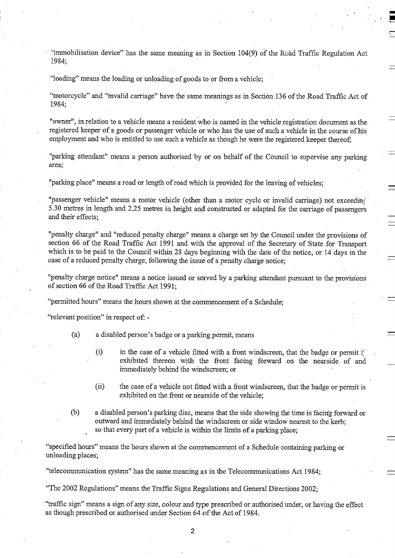"immobilisation device" has the same meaning as in Section 104(9) of the Road Traffic Regulation Act 1984;

"loading" means the loading or unloading of goods to or from a vehicle ;

"motorcycle" and "invalid carriage" have the same meanings as in Section 136 of the Road Traffic Act of 1984;

"owner", in relation to a vehicle means a resident who is named in the vehicle registration document as the registered keeper of a goods or passenger vehicle or who has the use of such a vehicle in the course of his employment and who is entitled to use such a vehicle as though he were the registered keeper thereof;

"parking attendant" means a person authorised by or on behalf of the Council to supervise any parking area;

"parking place" means a road or length of road which is provided for the leaving of vehicles;

"passenger vehicle" means a motor vehicle (other than a motor cycle or invalid carriage) not exceeding <sup>5</sup> .30 metres in length and 2 .25 metres in height and constructed or adapted for the carriage of passengers and their effects;

"penalty charge" and "reduced penalty charge" means a charge set by the Council under the provisions of section 66 of the Road Traffic Act 1991 and with the approval of the . Secretary of State for Transport which is to be paid to the Council within 28 days beginning with the date of the notice, or 14 days in the case of a reduced penalty charge, following the issue of a penalty charge notice ;

"penalty charge notice" means a notice issued or served by a parking attendant pursuant to the provisions of section 66 of the Road Traffic Act 1991;

"permitted hours" means the hours shown at the commencement of a Schedule;

"relevant position" in respect of. -

(a) a disabled person's badge or a parking permit, means

- (i) in the case of a vehicle fitted with a front windscreen, that the badge or permit  $\mathbb{I}$ exhibited thereon with the front facing forward on the nearside of and immediately behind the windscreen; or
- (ii) the case of a vehicle not fitted with a front windscreen, that the badge or permit is exhibited on the front or nearside of the vehicle;
- (b) a disabled person's parking disc, means that the side showing the time is facing forward or outward and immediately behind the windscreen or side window nearest to the kerb; so that every part of a vehicle is within the limits of a parking place;

"specified hours" means the hours shown at the commencement of a Schedule containing parking or unloading places;

"telecommunication system" has the same meaning as in the Telecommunications Act 1984 ;

"The 2002 Regulations" means the Traffic Signs Regulations and General Directions 2002 ;

"traffic sign" means a sign of any size, colour, and type prescribed or authorised under, or having the effect as though prescribed or authorised under Section 64 of the Act of 1984 .

2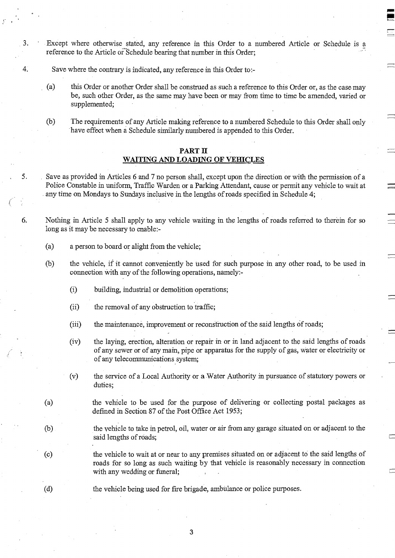3. Except where otherwise stated, any reference in this Order to a numbered Article or Schedule is <sup>a</sup> reference to the Article or Schedule bearing that number in this Order;

 $\blacksquare$ **U**

- 4. Save where the contrary is indicated, any reference in this Order to :-
	- (a) this Order or another Order shall be construed as such a reference to this Order or, as the case may be, such other Order, as the same may have been or may from time to time be amended, varied or supplemented;
	- (b) The requirements of any Article making reference to a numbered Schedule to this Order shall only have effect when a Schedule similarly numbered is appended to this Order.

#### PART II WAITING AND LOADING OF VEHICLES

5 . Save as provided in Articles 6 and 7 no person shall, except upon the direction or with the permission of a Police Constable in uniform, Traffic Warden or a Parking Attendant, cause or permit any vehicle to wait at any time on Mondays to Sundays inclusive in the lengths of roads specified in Schedule 4 ;

6. Nothing in Article 5 shall apply to any vehicle waiting in the lengths of roads referred to therein for so long as it may be necessary to enable:-

- (a) a person to board or alight from the vehicle;
- (b) the vehicle, if it cannot conveniently be used for such purpose in any other road, to be used in connection with any of the following operations, namely:-
	- (i) building, industrial or demolition operations;
	- (ii) the removal of any obstruction to traffic ;
	- (iii) the maintenance, improvement or reconstruction of the said lengths of roads;
	- (iv) the laying, erection, alteration or repair in or in land adjacent to the said lengths of roads of any sewer or of any main, pipe or apparatus for the supply of gas, water or electricity or of any telecommunications system;
	- (v) the service of a Local Authority or a Water Authority in pursuance of statutory powers or duties;
- (a) the vehicle to be used for the purpose of delivering or collecting postal packages as defined in Section 87 of the Post Office Act 1953 ;
- (b) the vehicle to take in petrol, oil, water or air from any garage situated on or adjacent to the said lengths of roads;
- (c) the vehicle to wait at or near to any premises situated on or adjacent to the said lengths of roads for so long as such waiting by that vehicle is reasonably necessary in connection with any wedding or funeral;
- 

(d) the vehicle being used for fire brigade, ambulance or police purposes .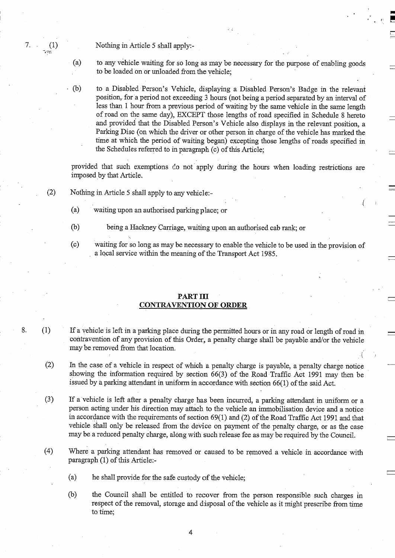7. (1) Nothing in Article 5 shall apply:-

(a) to any vehicle waiting for so long as may be necessary for the purpose of enabling goods to be loaded on or unloaded from the vehicle;

(b) to a Disabled Person's Vehicle, displaying a Disabled Person's Badge in the relevant position, for a period not exceeding 3 hours (not being a period separated by an interval of less than 1 hour from a previous period of waiting by the same vehicle in the same length of road on the same day), EXCEPT those lengths of road specified in Schedule 8 hereto and provided that the Disabled Person's Vehicle also displays in the relevant position, a Parking Disc (on which the driver or other person in charge of the vehicle has marked the time at which the period of waiting began) excepting those lengths of roads specified in the Schedules referred to in paragraph (c) of this Article ;

provided that such exemptions do not apply during the hours when loading restrictions are imposed by that Article.

- (2) Nothing in Article 5 shall apply to any vehicle :-
	- (a) waiting upon an authorised parking place; or
	- (b) being a Hackney Carriage, waiting upon an authorised cab rank ; or
	- (c) waiting for so long as may be necessary to enable the vehicle to be used in the provision of a local service within the meaning of the Transport Act 1985 .

#### PART III CONTRAVENTION OF ORDER

- 8. (1) If a vehicle is left in a parking place during the permitted hours or in any road or length of road in contravention of any provision of this Order, a penalty charge shall be payable and/or the vehicle may be removed from that location.
	- (2) In the case of a vehicle in respect of which a penalty charge is payable, a penalty charge notice showing the information required by section 66(3) of the Road Traffic Act 1991 may then be issued by a parking attendant in uniform in accordance with section 66(1) of the said Act .
	- (3) If a vehicle is left after a penalty charge has been incurred, a parking attendant in uniform or a person acting under his direction may attach to the vehicle an immobilisation device and a notice in accordance with the requirements of section 69(1). and (2) of the Road Traffic Act 1991 and that vehicle shall only be released from the device on payment of the penalty charge, or as the case may be a reduced penalty charge, along with such release fee as may be required by the Council.
	- (4) Where a parking attendant has removed or caused to be removed a vehicle in accordance with paragraph (1) of this Article :-
		- (a) he shall provide for the safe custody of the vehicle;
		- (b) the Council shall be entitled to recover from the person responsible such charges in respect of the removal, storage and disposal of the vehicle as it might prescribe from time to time;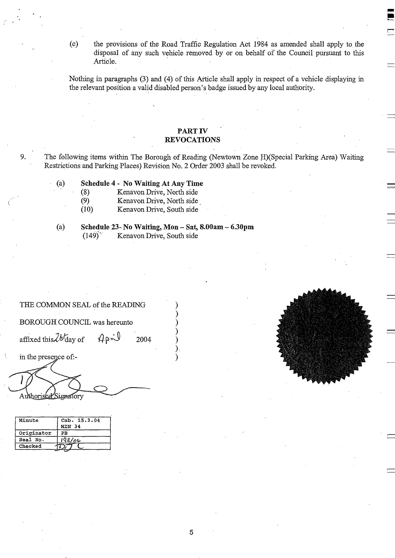(c) the provisions of the Road Traffic Regulation Act 1984 as amended shall apply to the disposal of any such vehicle removed by or on behalf of the Council pursuant to this Article.

Nothing in paragraphs (3) and (4) of this Article shall apply in respect of a vehicle displaying in the relevant position a valid disabled person's badge issued by any local authority.

#### PART IV REVOCATIONS

9. The following items within The Borough of Reading (Newtown Zone H)(Special Parking Area) Waiting Restrictions and Parking Places) Revision No. 2 Order 2003 shall be revoked.

- **(a) Schedule** 4 No Waiting At Any **Time**
	- (8) Kenavon Drive, North side<br>
	(9) Kenavon Drive, North side
	- (9) Kenavon Drive, North side<br>
	(10) Kenavon Drive, South side
	- Kenavon Drive, South side
- 
- **(a) Schedule** 23- No Waiting, **Mon Sat**, **8.00am 6.30pm**
	- Kenavon Drive, South side

#### THE COMMON SEAL of the READING )

BOROUGH COUNCIL was hereunto )

affixed this  $2b$  day of  $4p \times 2004$ 

THE COMMON SEAL of the READING<br>
BOROUGH COUNCIL was hereunto<br>
affixed this  $2b$  day of  $4p$   $2004$ <br>
in the presence of:-<br>  $\overrightarrow{1}$ Authorised Signatory

| Minute     | Cab. 15.3.04  |
|------------|---------------|
|            | <b>MIN 34</b> |
| Originator | PB            |
| Seal No.   | <u>192/04</u> |
| Checked    |               |



L\_.